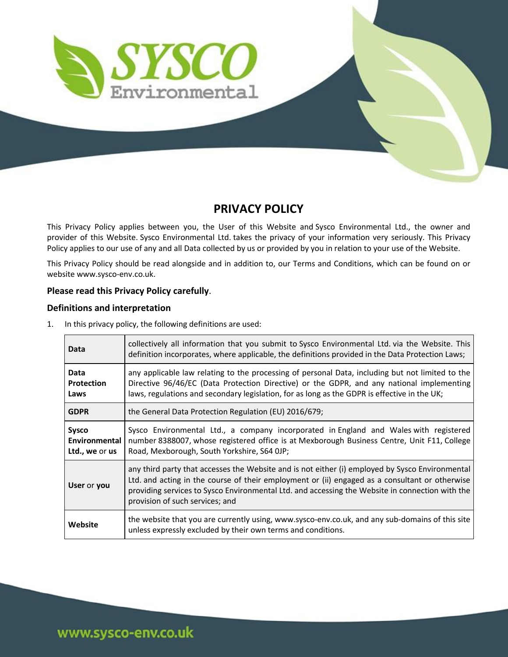

## **PRIVACY POLICY**

This Privacy Policy applies between you, the User of this Website and Sysco Environmental Ltd., the owner and provider of this Website. Sysco Environmental Ltd. takes the privacy of your information very seriously. This Privacy Policy applies to our use of any and all Data collected by us or provided by you in relation to your use of the Website.

This Privacy Policy should be read alongside and in addition to, our Terms and Conditions, which can be found on or website www.sysco-env.co.uk.

## **Please read this Privacy Policy carefully**.

## **Definitions and interpretation**

| 1. |  | In this privacy policy, the following definitions are used: |
|----|--|-------------------------------------------------------------|
|----|--|-------------------------------------------------------------|

| Data                                            | collectively all information that you submit to Sysco Environmental Ltd. via the Website. This<br>definition incorporates, where applicable, the definitions provided in the Data Protection Laws;                                                                                                                                      |
|-------------------------------------------------|-----------------------------------------------------------------------------------------------------------------------------------------------------------------------------------------------------------------------------------------------------------------------------------------------------------------------------------------|
| Data<br><b>Protection</b><br>Laws               | any applicable law relating to the processing of personal Data, including but not limited to the<br>Directive 96/46/EC (Data Protection Directive) or the GDPR, and any national implementing<br>laws, regulations and secondary legislation, for as long as the GDPR is effective in the UK;                                           |
| <b>GDPR</b>                                     | the General Data Protection Regulation (EU) 2016/679;                                                                                                                                                                                                                                                                                   |
| <b>Sysco</b><br>Environmental<br>Ltd., we or us | Sysco Environmental Ltd., a company incorporated in England and Wales with registered<br>number 8388007, whose registered office is at Mexborough Business Centre, Unit F11, College<br>Road, Mexborough, South Yorkshire, S64 OJP;                                                                                                     |
| User or you                                     | any third party that accesses the Website and is not either (i) employed by Sysco Environmental<br>Ltd. and acting in the course of their employment or (ii) engaged as a consultant or otherwise<br>providing services to Sysco Environmental Ltd. and accessing the Website in connection with the<br>provision of such services; and |
| Website                                         | the website that you are currently using, www.sysco-env.co.uk, and any sub-domains of this site<br>unless expressly excluded by their own terms and conditions.                                                                                                                                                                         |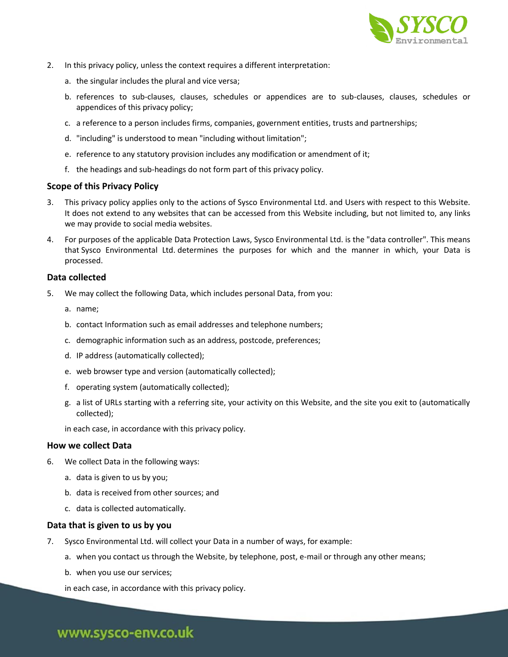

- 2. In this privacy policy, unless the context requires a different interpretation:
	- a. the singular includes the plural and vice versa;
	- b. references to sub-clauses, clauses, schedules or appendices are to sub-clauses, clauses, schedules or appendices of this privacy policy;
	- c. a reference to a person includes firms, companies, government entities, trusts and partnerships;
	- d. "including" is understood to mean "including without limitation";
	- e. reference to any statutory provision includes any modification or amendment of it;
	- f. the headings and sub-headings do not form part of this privacy policy.

### **Scope of this Privacy Policy**

- 3. This privacy policy applies only to the actions of Sysco Environmental Ltd. and Users with respect to this Website. It does not extend to any websites that can be accessed from this Website including, but not limited to, any links we may provide to social media websites.
- 4. For purposes of the applicable Data Protection Laws, Sysco Environmental Ltd. is the "data controller". This means that Sysco Environmental Ltd. determines the purposes for which and the manner in which, your Data is processed.

#### **Data collected**

- 5. We may collect the following Data, which includes personal Data, from you:
	- a. name;
	- b. contact Information such as email addresses and telephone numbers;
	- c. demographic information such as an address, postcode, preferences;
	- d. IP address (automatically collected);
	- e. web browser type and version (automatically collected);
	- f. operating system (automatically collected);
	- g. a list of URLs starting with a referring site, your activity on this Website, and the site you exit to (automatically collected);
	- in each case, in accordance with this privacy policy.

#### **How we collect Data**

- 6. We collect Data in the following ways:
	- a. data is given to us by you;
	- b. data is received from other sources; and
	- c. data is collected automatically.

#### **Data that is given to us by you**

- 7. Sysco Environmental Ltd. will collect your Data in a number of ways, for example:
	- a. when you contact us through the Website, by telephone, post, e-mail or through any other means;
	- b. when you use our services;
	- in each case, in accordance with this privacy policy.

# www.sysco-env.co.uk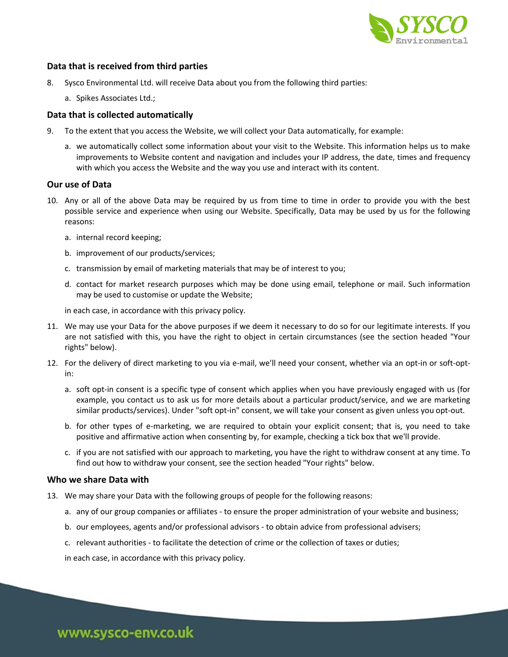

## **Data that is received from third parties**

- 8. Sysco Environmental Ltd. will receive Data about you from the following third parties:
	- a. Spikes Associates Ltd.;

#### **Data that is collected automatically**

- 9. To the extent that you access the Website, we will collect your Data automatically, for example:
	- a. we automatically collect some information about your visit to the Website. This information helps us to make improvements to Website content and navigation and includes your IP address, the date, times and frequency with which you access the Website and the way you use and interact with its content.

#### **Our use of Data**

- 10. Any or all of the above Data may be required by us from time to time in order to provide you with the best possible service and experience when using our Website. Specifically, Data may be used by us for the following reasons:
	- a. internal record keeping;
	- b. improvement of our products/services;
	- c. transmission by email of marketing materials that may be of interest to you;
	- d. contact for market research purposes which may be done using email, telephone or mail. Such information may be used to customise or update the Website;

in each case, in accordance with this privacy policy.

- 11. We may use your Data for the above purposes if we deem it necessary to do so for our legitimate interests. If you are not satisfied with this, you have the right to object in certain circumstances (see the section headed "Your rights" below).
- 12. For the delivery of direct marketing to you via e-mail, we'll need your consent, whether via an opt-in or soft-optin:
	- a. soft opt-in consent is a specific type of consent which applies when you have previously engaged with us (for example, you contact us to ask us for more details about a particular product/service, and we are marketing similar products/services). Under "soft opt-in" consent, we will take your consent as given unless you opt-out.
	- b. for other types of e-marketing, we are required to obtain your explicit consent; that is, you need to take positive and affirmative action when consenting by, for example, checking a tick box that we'll provide.
	- c. if you are not satisfied with our approach to marketing, you have the right to withdraw consent at any time. To find out how to withdraw your consent, see the section headed "Your rights" below.

#### **Who we share Data with**

- 13. We may share your Data with the following groups of people for the following reasons:
	- a. any of our group companies or affiliates to ensure the proper administration of your website and business;
	- b. our employees, agents and/or professional advisors to obtain advice from professional advisers;
	- c. relevant authorities to facilitate the detection of crime or the collection of taxes or duties;
	- in each case, in accordance with this privacy policy.

www.sysco-env.co.uk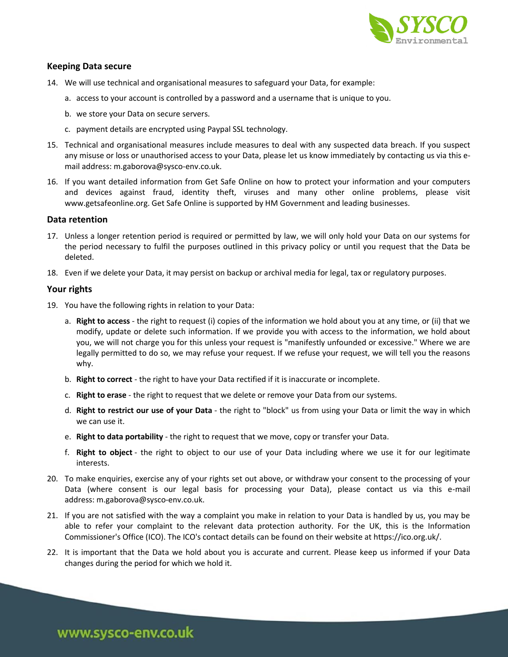

## **Keeping Data secure**

- 14. We will use technical and organisational measures to safeguard your Data, for example:
	- a. access to your account is controlled by a password and a username that is unique to you.
	- b. we store your Data on secure servers.
	- c. payment details are encrypted using Paypal SSL technology.
- 15. Technical and organisational measures include measures to deal with any suspected data breach. If you suspect any misuse or loss or unauthorised access to your Data, please let us know immediately by contacting us via this email address: m.gaborova@sysco-env.co.uk.
- 16. If you want detailed information from Get Safe Online on how to protect your information and your computers and devices against fraud, identity theft, viruses and many other online problems, please visit www.getsafeonline.org. Get Safe Online is supported by HM Government and leading businesses.

#### **Data retention**

- 17. Unless a longer retention period is required or permitted by law, we will only hold your Data on our systems for the period necessary to fulfil the purposes outlined in this privacy policy or until you request that the Data be deleted.
- 18. Even if we delete your Data, it may persist on backup or archival media for legal, tax or regulatory purposes.

#### **Your rights**

- 19. You have the following rights in relation to your Data:
	- a. **Right to access** the right to request (i) copies of the information we hold about you at any time, or (ii) that we modify, update or delete such information. If we provide you with access to the information, we hold about you, we will not charge you for this unless your request is "manifestly unfounded or excessive." Where we are legally permitted to do so, we may refuse your request. If we refuse your request, we will tell you the reasons why.
	- b. **Right to correct** the right to have your Data rectified if it is inaccurate or incomplete.
	- c. **Right to erase** the right to request that we delete or remove your Data from our systems.
	- d. **Right to restrict our use of your Data** the right to "block" us from using your Data or limit the way in which we can use it.
	- e. **Right to data portability** the right to request that we move, copy or transfer your Data.
	- f. **Right to object** the right to object to our use of your Data including where we use it for our legitimate interests.
- 20. To make enquiries, exercise any of your rights set out above, or withdraw your consent to the processing of your Data (where consent is our legal basis for processing your Data), please contact us via this e-mail address: m.gaborova@sysco-env.co.uk.
- 21. If you are not satisfied with the way a complaint you make in relation to your Data is handled by us, you may be able to refer your complaint to the relevant data protection authority. For the UK, this is the Information Commissioner's Office (ICO). The ICO's contact details can be found on their website at https://ico.org.uk/.
- 22. It is important that the Data we hold about you is accurate and current. Please keep us informed if your Data changes during the period for which we hold it.